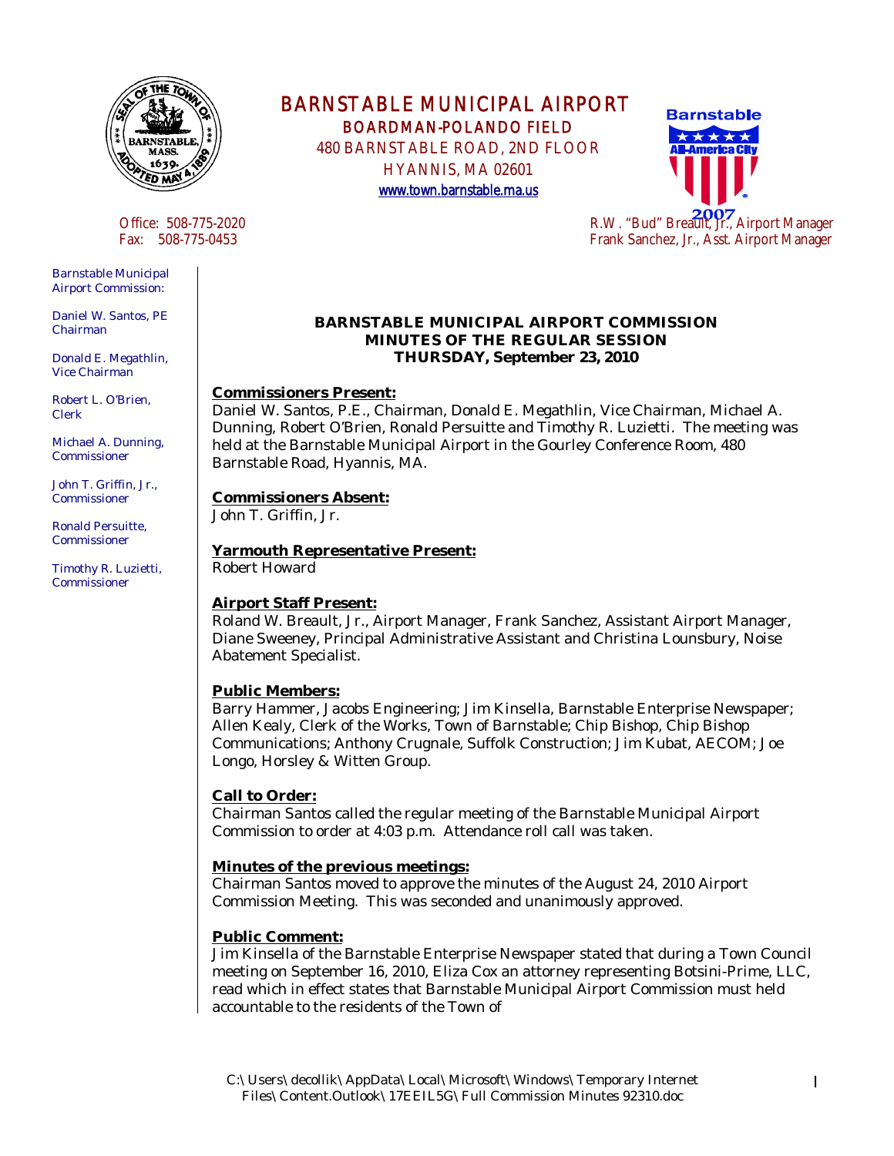

Barnstable Municipal Airport Commission:

Daniel W. Santos, PE Chairman

Donald E. Megathlin, Vice Chairman

Robert L. O'Brien, Clerk

Michael A. Dunning, Commissioner

John T. Griffin, Jr., Commissioner

Ronald Persuitte, Commissioner

Timothy R. Luzietti, Commissioner

BARNSTABLE MUNICIPAL AIRPORT BOARDMAN-POLANDO FIELD

 480 BARNSTABLE ROAD, 2ND FLOOR HYANNIS, MA 02601

www.town.barnstable.ma.us



#### **BARNSTABLE MUNICIPAL AIRPORT COMMISSION MINUTES OF THE REGULAR SESSION THURSDAY, September 23, 2010**

## **Commissioners Present:**

Daniel W. Santos, P.E., Chairman, Donald E. Megathlin, Vice Chairman, Michael A. Dunning, Robert O'Brien, Ronald Persuitte and Timothy R. Luzietti. The meeting was held at the Barnstable Municipal Airport in the Gourley Conference Room, 480 Barnstable Road, Hyannis, MA.

#### **Commissioners Absent:**

John T. Griffin, Jr.

#### **Yarmouth Representative Present:** Robert Howard

## **Airport Staff Present:**

Roland W. Breault, Jr., Airport Manager, Frank Sanchez, Assistant Airport Manager, Diane Sweeney, Principal Administrative Assistant and Christina Lounsbury, Noise Abatement Specialist.

# **Public Members:**

Barry Hammer, Jacobs Engineering; Jim Kinsella, Barnstable Enterprise Newspaper; Allen Kealy, Clerk of the Works, Town of Barnstable; Chip Bishop, Chip Bishop Communications; Anthony Crugnale, Suffolk Construction; Jim Kubat, AECOM; Joe Longo, Horsley & Witten Group.

## **Call to Order:**

Chairman Santos called the regular meeting of the Barnstable Municipal Airport Commission to order at 4:03 p.m. Attendance roll call was taken.

## **Minutes of the previous meetings:**

Chairman Santos moved to approve the minutes of the August 24, 2010 Airport Commission Meeting. This was seconded and unanimously approved.

# **Public Comment:**

Jim Kinsella of the Barnstable Enterprise Newspaper stated that during a Town Council meeting on September 16, 2010, Eliza Cox an attorney representing Botsini-Prime, LLC, read which in effect states that Barnstable Municipal Airport Commission must held accountable to the residents of the Town of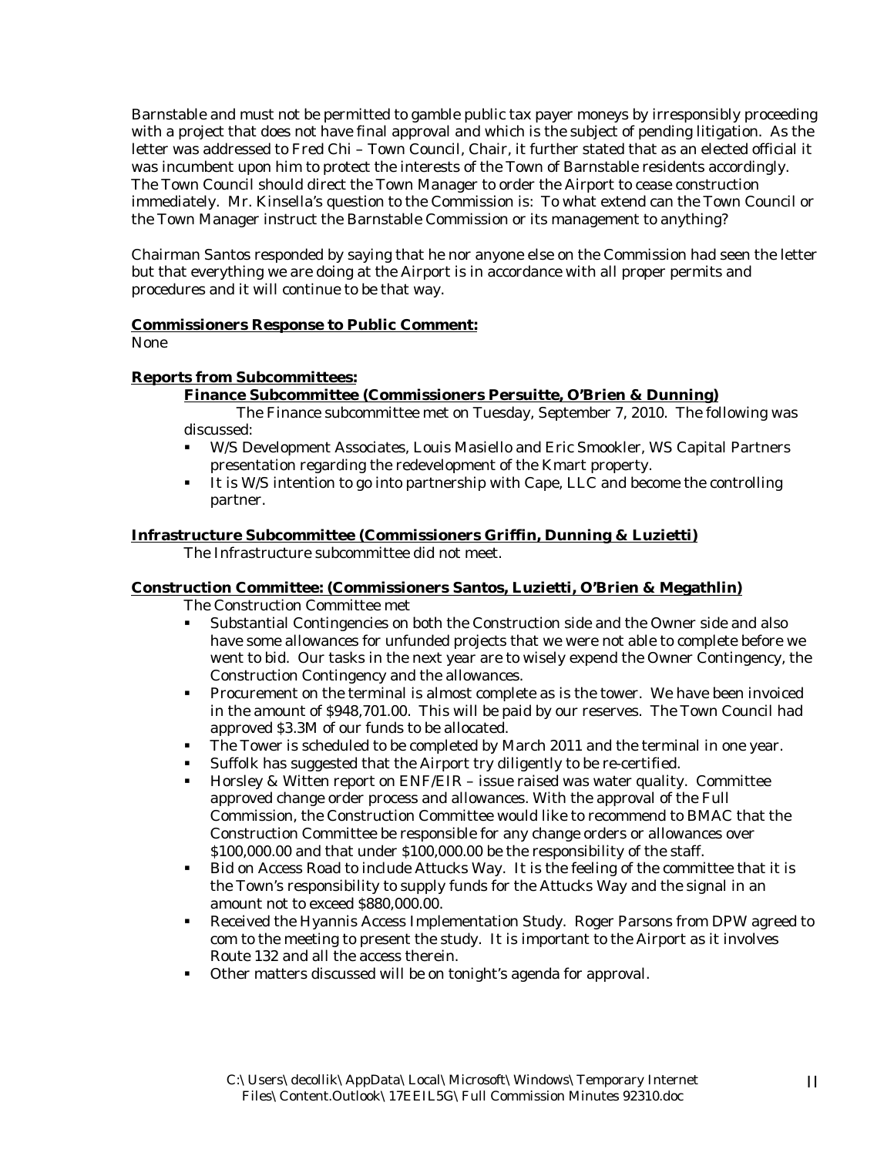Barnstable and must not be permitted to gamble public tax payer moneys by irresponsibly proceeding with a project that does not have final approval and which is the subject of pending litigation. As the letter was addressed to Fred Chi – Town Council, Chair, it further stated that as an elected official it was incumbent upon him to protect the interests of the Town of Barnstable residents accordingly. The Town Council should direct the Town Manager to order the Airport to cease construction immediately. Mr. Kinsella's question to the Commission is: To what extend can the Town Council or the Town Manager instruct the Barnstable Commission or its management to anything?

Chairman Santos responded by saying that he nor anyone else on the Commission had seen the letter but that everything we are doing at the Airport is in accordance with all proper permits and procedures and it will continue to be that way.

#### **Commissioners Response to Public Comment:**

None

## **Reports from Subcommittees:**

## **Finance Subcommittee (Commissioners Persuitte, O'Brien & Dunning)**

 The Finance subcommittee met on Tuesday, September 7, 2010. The following was discussed:

- W/S Development Associates, Louis Masiello and Eric Smookler, WS Capital Partners presentation regarding the redevelopment of the Kmart property.
- It is W/S intention to go into partnership with Cape, LLC and become the controlling partner.

#### **Infrastructure Subcommittee (Commissioners Griffin, Dunning & Luzietti)**

The Infrastructure subcommittee did not meet.

## **Construction Committee: (Commissioners Santos, Luzietti, O'Brien & Megathlin)**

The Construction Committee met

- Substantial Contingencies on both the Construction side and the Owner side and also have some allowances for unfunded projects that we were not able to complete before we went to bid. Our tasks in the next year are to wisely expend the Owner Contingency, the Construction Contingency and the allowances.
- **Procurement on the terminal is almost complete as is the tower. We have been invoiced** in the amount of \$948,701.00. This will be paid by our reserves. The Town Council had approved \$3.3M of our funds to be allocated.
- The Tower is scheduled to be completed by March 2011 and the terminal in one year.
- Suffolk has suggested that the Airport try diligently to be re-certified.
- Horsley & Witten report on ENF/EIR issue raised was water quality. Committee approved change order process and allowances. With the approval of the Full Commission, the Construction Committee would like to recommend to BMAC that the Construction Committee be responsible for any change orders or allowances over \$100,000.00 and that under \$100,000.00 be the responsibility of the staff.
- Bid on Access Road to include Attucks Way. It is the feeling of the committee that it is the Town's responsibility to supply funds for the Attucks Way and the signal in an amount not to exceed \$880,000.00.
- Received the Hyannis Access Implementation Study. Roger Parsons from DPW agreed to com to the meeting to present the study. It is important to the Airport as it involves Route 132 and all the access therein.
- Other matters discussed will be on tonight's agenda for approval.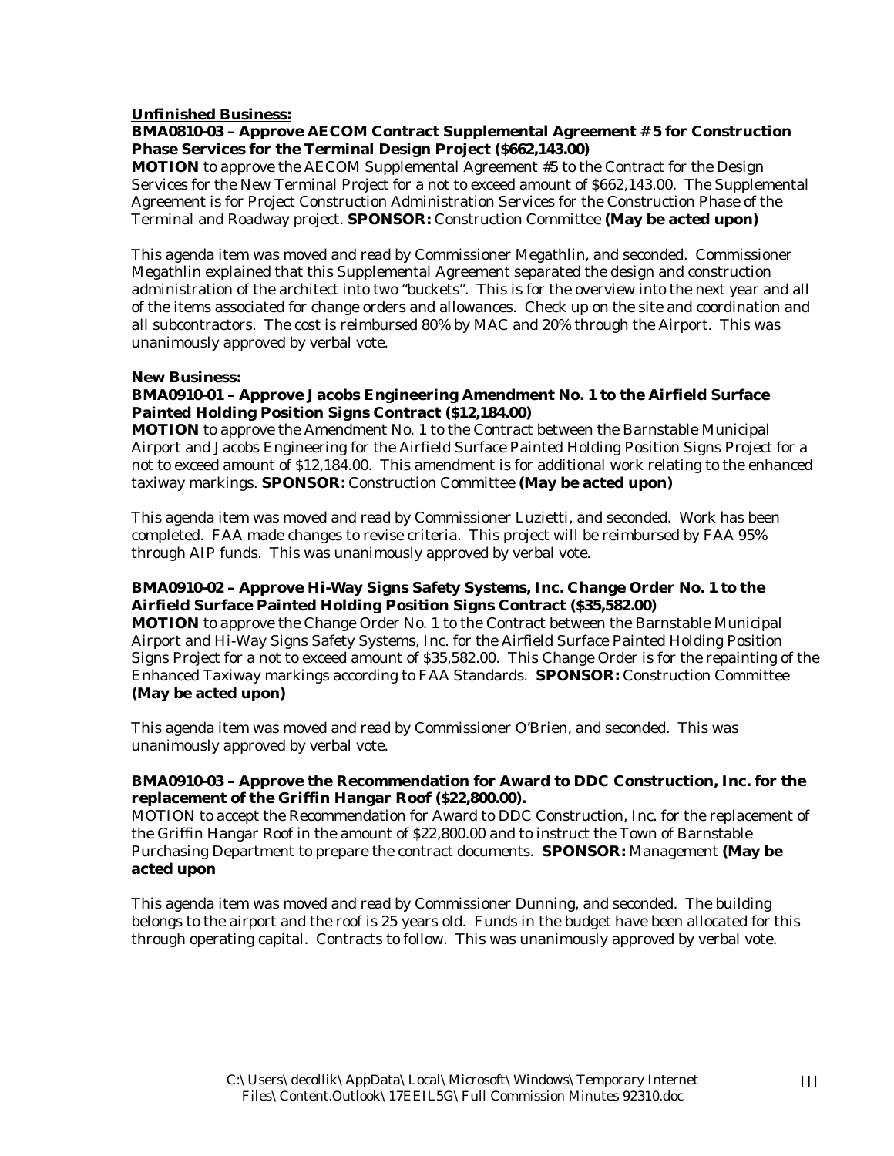#### **Unfinished Business:**

#### **BMA0810-03 – Approve AECOM Contract Supplemental Agreement # 5 for Construction Phase Services for the Terminal Design Project (\$662,143.00)**

**MOTION** to approve the AECOM Supplemental Agreement #5 to the Contract for the Design Services for the New Terminal Project for a not to exceed amount of \$662,143.00. The Supplemental Agreement is for Project Construction Administration Services for the Construction Phase of the Terminal and Roadway project. **SPONSOR:** Construction Committee **(May be acted upon)** 

This agenda item was moved and read by Commissioner Megathlin, and seconded. Commissioner Megathlin explained that this Supplemental Agreement separated the design and construction administration of the architect into two "buckets". This is for the overview into the next year and all of the items associated for change orders and allowances. Check up on the site and coordination and all subcontractors. The cost is reimbursed 80% by MAC and 20% through the Airport. This was unanimously approved by verbal vote.

#### **New Business:**

## **BMA0910-01 – Approve Jacobs Engineering Amendment No. 1 to the Airfield Surface Painted Holding Position Signs Contract (\$12,184.00)**

**MOTION** to approve the Amendment No. 1 to the Contract between the Barnstable Municipal Airport and Jacobs Engineering for the Airfield Surface Painted Holding Position Signs Project for a not to exceed amount of \$12,184.00. This amendment is for additional work relating to the enhanced taxiway markings. **SPONSOR:** Construction Committee **(May be acted upon)** 

This agenda item was moved and read by Commissioner Luzietti, and seconded. Work has been completed. FAA made changes to revise criteria. This project will be reimbursed by FAA 95% through AIP funds. This was unanimously approved by verbal vote.

#### **BMA0910-02 – Approve Hi-Way Signs Safety Systems, Inc. Change Order No. 1 to the Airfield Surface Painted Holding Position Signs Contract (\$35,582.00)**

**MOTION** to approve the Change Order No. 1 to the Contract between the Barnstable Municipal Airport and Hi-Way Signs Safety Systems, Inc. for the Airfield Surface Painted Holding Position Signs Project for a not to exceed amount of \$35,582.00. This Change Order is for the repainting of the Enhanced Taxiway markings according to FAA Standards. **SPONSOR:** Construction Committee **(May be acted upon)** 

This agenda item was moved and read by Commissioner O'Brien, and seconded. This was unanimously approved by verbal vote.

## **BMA0910-03 – Approve the Recommendation for Award to DDC Construction, Inc. for the replacement of the Griffin Hangar Roof (\$22,800.00).**

MOTION to accept the Recommendation for Award to DDC Construction, Inc. for the replacement of the Griffin Hangar Roof in the amount of \$22,800.00 and to instruct the Town of Barnstable Purchasing Department to prepare the contract documents. **SPONSOR:** Management **(May be acted upon** 

This agenda item was moved and read by Commissioner Dunning, and seconded. The building belongs to the airport and the roof is 25 years old. Funds in the budget have been allocated for this through operating capital. Contracts to follow. This was unanimously approved by verbal vote.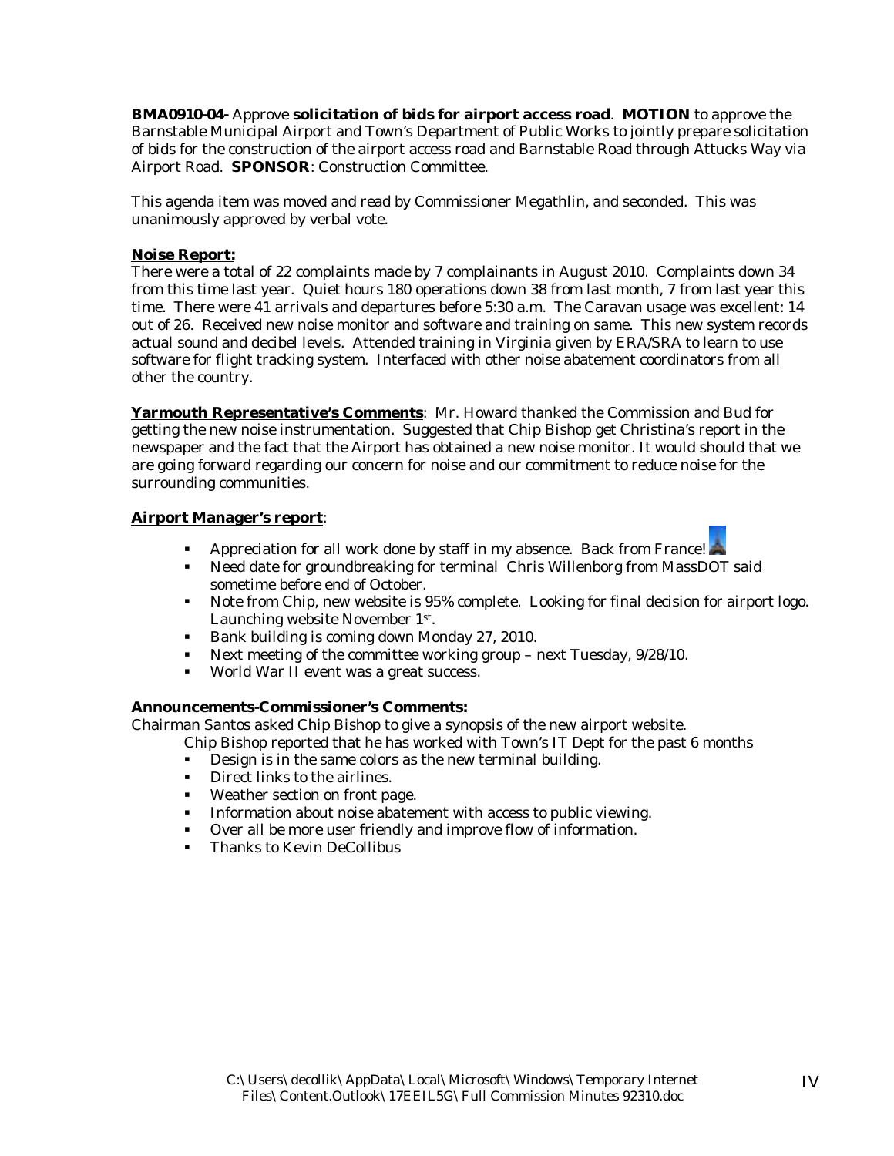**BMA0910-04-** Approve **solicitation of bids for airport access road**. **MOTION** to approve the Barnstable Municipal Airport and Town's Department of Public Works to jointly prepare solicitation of bids for the construction of the airport access road and Barnstable Road through Attucks Way via Airport Road. **SPONSOR**: Construction Committee.

This agenda item was moved and read by Commissioner Megathlin, and seconded. This was unanimously approved by verbal vote.

#### **Noise Report:**

There were a total of 22 complaints made by 7 complainants in August 2010. Complaints down 34 from this time last year. Quiet hours 180 operations down 38 from last month, 7 from last year this time. There were 41 arrivals and departures before 5:30 a.m. The Caravan usage was excellent: 14 out of 26. Received new noise monitor and software and training on same. This new system records actual sound and decibel levels. Attended training in Virginia given by ERA/SRA to learn to use software for flight tracking system. Interfaced with other noise abatement coordinators from all other the country.

**Yarmouth Representative's Comments**: Mr. Howard thanked the Commission and Bud for getting the new noise instrumentation. Suggested that Chip Bishop get Christina's report in the newspaper and the fact that the Airport has obtained a new noise monitor. It would should that we are going forward regarding our concern for noise and our commitment to reduce noise for the surrounding communities.

#### **Airport Manager's report**:

- Appreciation for all work done by staff in my absence. Back from France!
- Need date for groundbreaking for terminal Chris Willenborg from MassDOT said sometime before end of October.
- Note from Chip, new website is 95% complete. Looking for final decision for airport logo. Launching website November 1st.
- Bank building is coming down Monday 27, 2010.
- Next meeting of the committee working group next Tuesday,  $9/28/10$ .
- World War II event was a great success.

#### **Announcements-Commissioner's Comments:**

Chairman Santos asked Chip Bishop to give a synopsis of the new airport website.

- Chip Bishop reported that he has worked with Town's IT Dept for the past 6 months
	- Design is in the same colors as the new terminal building.
	- **Direct links to the airlines.**
	- Weather section on front page.
	- **Information about noise abatement with access to public viewing.**
	- Over all be more user friendly and improve flow of information.
	- **Thanks to Kevin DeCollibus**